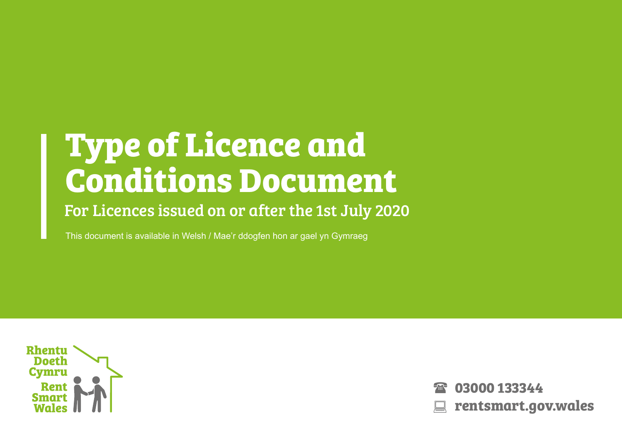# **Type of Licence and Conditions Document**

## For Licences issued on or after the 1st July 2020

This document is available in Welsh / Mae'r ddogfen hon ar gael yn Gymraeg



**03000 133344 rentsmart.gov.wales**  $\mathcal{F}_{\text{int}}$  $\boxed{\square}$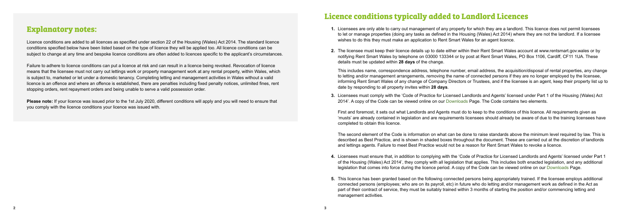#### **Explanatory notes:**

Licence conditions are added to all licences as specified under section 22 of the Housing (Wales) Act 2014. The standard licence conditions specified below have been listed based on the type of licence they will be applied too. All licence conditions can be subject to change at any time and bespoke licence conditions are often added to licences specific to the applicant's circumstances.

Failure to adhere to licence conditions can put a licence at risk and can result in a licence being revoked. Revocation of licence means that the licensee must not carry out lettings work or property management work at any rental property, within Wales, which is subject to, marketed or let under a domestic tenancy. Completing letting and management activities in Wales without a valid licence is an offence and where an offence is established, there are penalties including fixed penalty notices, unlimited fines, rent stopping orders, rent repayment orders and being unable to serve a valid possession order.

**Please note:** If your licence was issued prior to the 1st July 2020, different conditions will apply and you will need to ensure that you comply with the licence conditions your licence was issued with.

### **Licence conditions typically added to Landlord Licences**

- **1.** Licensees are only able to carry out management of any property for which they are a landlord. This licence does not permit licensees to let or manage properties (doing any tasks as defined in the Housing (Wales) Act 2014) where they are not the landlord. If a licensee wishes to do this they must make an application to Rent Smart Wales for an agent licence.
- **2.** The licensee must keep their licence details up to date either within their Rent Smart Wales account at [www.rentsmart.gov.](http://www.rentsmart.gov)wales or by notifying Rent Smart Wales by telephone on 03000 133344 or by post at Rent Smart Wales, PO Box 1106, Cardiff, CF11 1UA. These details must be updated within **28 days** of the change.

This includes name, correspondence address, telephone number, email address, the acquisition/disposal of rental properties, any change to letting and/or management arrangements, removing the name of connected persons if they are no longer employed by the licensee, informing Rent Smart Wales of any change of Company Directors or Trustees, and if the licensee is an agent, keep their property list up to date by responding to all property invites within **28 days**.

**3.** Licensees must comply with the 'Code of Practice for Licensed Landlords and Agents' licensed under Part 1 of the Housing (Wales) Act 2014'. A copy of the Code can be viewed online on our Downloads Page. The Code contains two elements.

First and foremost, it sets out what Landlords and Agents must do to keep to the conditions of this licence. All requirements given as 'musts' are already contained in legislation and are requirements licensees should already be aware of due to the training licensees have completed to obtain this licence.

The second element of the Code is information on what can be done to raise standards above the minimum level required by law. This is described as Best Practice, and is shown in shaded boxes throughout the document. These are carried out at the discretion of landlords and lettings agents. Failure to meet Best Practice would not be a reason for Rent Smart Wales to revoke a licence.

- **4.** Licensees must ensure that, in addition to complying with the 'Code of Practice for Licensed Landlords and Agents' licensed under Part 1 of the Housing (Wales) Act 2014', they comply with all legislation that applies. This includes both enacted legislation, and any additional legislation that comes into force during the licence period. A copy of the Code can be viewed online on our Downloads Page.
- **5.** This licence has been granted based on the following connected persons being appropriately trained. If the licensee employs additional connected persons (employees; who are on its payroll, etc) in future who do letting and/or management work as defined in the Act as part of their contract of service, they must be suitably trained within 3 months of starting the position and/or commencing letting and management activities.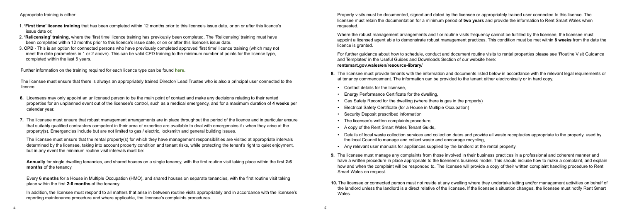Appropriate training is either:

- 1. **'First time' licence training** that has been completed within 12 months prior to this licence's issue date, or on or after this licence's issue date or;
- 2. **'Relicensing' training**, where the 'first time' licence training has previously been completed. The 'Relicensing' training must have been completed within 12 months prior to this licence's issue date, or on or after this licence's issue date.
- 3. **CPD** This is an option for connected persons who have previously completed approved 'first time' licence training (which may not meet the date parameters in 1 or 2 above). This can be valid CPD training to the minimum number of points for the licence type, completed within the last 5 years.

Further information on the training required for each licence type can be found **[here](https://www.rentsmart.gov.wales/en/courses/)**.

The licensee must ensure that there is always an appropriately trained Director/ Lead Trustee who is also a principal user connected to the licence.

- **6.** Licensees may only appoint an unlicensed person to be the main point of contact and make any decisions relating to their rented properties for an unplanned event out of the licensee's control, such as a medical emergency, and for a maximum duration of **4 weeks** per calendar year.
- **7.** The licensee must ensure that robust management arrangements are in place throughout the period of the licence and in particular ensure that suitably qualified contractors competent in their area of expertise are available to deal with emergencies if / when they arise at the property(s). Emergencies include but are not limited to gas / electric, locksmith and general building issues.

Where the robust management arrangements and / or routine visits frequency cannot be fulfilled by the licensee, the licensee must appoint a licensed agent able to demonstrate robust management practices. This condition must be met within **8 weeks** from the date the licence is granted.

The licensee must ensure that the rental property(s) for which they have management responsibilities are visited at appropriate intervals determined by the licensee, taking into account property condition and tenant risks, while protecting the tenant's right to quiet enjoyment, but in any event the minimum routine visit intervals must be:

**Annually** for single dwelling tenancies, and shared houses on a single tenancy, with the first routine visit taking place within the first **2-6 months** of the tenancy.

Every **6 months** for a House in Multiple Occupation (HMO), and shared houses on separate tenancies, with the first routine visit taking place within the first **2-6 months** of the tenancy.

In addition, the licensee must respond to all matters that arise in between routine visits appropriately and in accordance with the licensee's reporting maintenance procedure and where applicable, the licensee's complaints procedures.

Property visits must be documented, signed and dated by the licensee or appropriately trained user connected to this licence. The licensee must retain the documentation for a minimum period of **two years** and provide the information to Rent Smart Wales when requested.

For further guidance about how to schedule, conduct and document routine visits to rental properties please see 'Routine Visit Guidance and Templates' in the Useful Guides and Downloads Section of our website here:

#### **rentsmart.gov.wales/en/resource-library/**

- **8.** The licensee must provide tenants with the information and documents listed below in accordance with the relevant legal requirements or at tenancy commencement. The information can be provided to the tenant either electronically or in hard copy.
- Contact details for the licensee,
- Energy Performance Certificate for the dwelling,
- Gas Safety Record for the dwelling (where there is gas in the property)
- Electrical Safety Certificate (for a House in Multiple Occupation)
- Security Deposit prescribed information
- The licensee's written complaints procedure,
- A copy of the Rent Smart Wales Tenant Guide,
- Details of local waste collection services and collection dates and provide all waste receptacles appropriate to the property, used by the local Council to manage and collect waste and encourage recycling,
- Any relevant user manuals for appliances supplied by the landlord at the rental property.
- **9.** The licensee must manage any complaints from those involved in their business practices in a professional and coherent manner and have a written procedure in place appropriate to the licensee's business model. This should include how to make a complaint, and explain how and when the complaint will be responded to. The licensee will provide a copy of their written complaint handling procedure to Rent Smart Wales on request.
- **10.** The licensee or connected person must not reside at any dwelling where they undertake letting and/or management activities on behalf of the landlord unless the landlord is a direct relative of the licensee. If the licensee's situation changes, the licensee must notify Rent Smart Wales.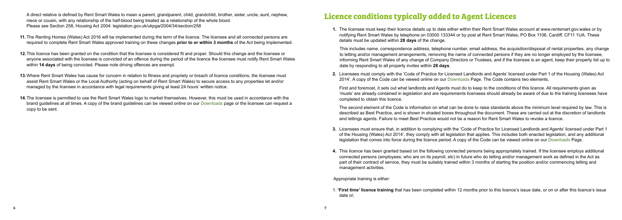A direct relative is defined by Rent Smart Wales to mean a parent, grandparent, child, grandchild, brother, sister, uncle, aunt, nephew, niece or cousin, with any relationship of the half-blood being treated as a relationship of the whole blood. Please see Section 258, Housing Act 2004: legislation.gov.uk/ukpga/2004/34/section/258

- **11.** The Renting Homes (Wales) Act 2016 will be implemented during the term of the licence. The licensee and all connected persons are required to complete Rent Smart Wales approved training on these changes **prior to or within 3 months** of the Act being implemented.
- **12.**This licence has been granted on the condition that the licensee is considered fit and proper. Should this change and the licensee or anyone associated with the licensee is convicted of an offence during the period of the licence the licensee must notify Rent Smart Wales within **14 days** of being convicted. Please note driving offences are exempt.
- **13.**Where Rent Smart Wales has cause for concern in relation to fitness and propriety or breach of licence conditions, the licensee must assist Rent Smart Wales or the Local Authority (acting on behalf of Rent Smart Wales) to secure access to any properties let and/or managed by the licensee in accordance with legal requirements giving at least 24 hours' written notice.
- **14.**The licensee is permitted to use the Rent Smart Wales logo to market themselves. However, this must be used in accordance with the brand guidelines at all times. A copy of the brand guidelines can be viewed online on our [Downloads](https://www.rentsmart.gov.wales/en/resource-library/) page or the licensee can request a copy to be sent.

# **Licence conditions typically added to Agent Licences**

**1.** The licensee must keep their licence details up to date either within their Rent Smart Wales account at www.rentsmart.gov.wales or by notifying Rent Smart Wales by telephone on 03000 133344 or by post at Rent Smart Wales, PO Box 1106, Cardiff, CF11 1UA. These details must be updated within **28 days** of the change.

This includes name, correspondence address, telephone number, email address, the acquisition/disposal of rental properties, any change to letting and/or management arrangements, removing the name of connected persons if they are no longer employed by the licensee, informing Rent Smart Wales of any change of Company Directors or Trustees, and if the licensee is an agent, keep their property list up to date by responding to all property invites within **28 days**.

**2.** Licensees must comply with the 'Code of Practice for Licensed Landlords and Agents' licensed under Part 1 of the Housing (Wales) Act 2014'. A copy of the Code can be viewed online on our Downloads Page. The Code contains two elements.

First and foremost, it sets out what landlords and Agents must do to keep to the conditions of this licence. All requirements given as 'musts' are already contained in legislation and are requirements licensees should already be aware of due to the training licensees have completed to obtain this licence.

The second element of the Code is information on what can be done to raise standards above the minimum level required by law. This is described as Best Practice, and is shown in shaded boxes throughout the document. These are carried out at the discretion of landlords and lettings agents. Failure to meet Best Practice would not be a reason for Rent Smart Wales to revoke a licence.

- **3.** Licensees must ensure that, in addition to complying with the 'Code of Practice for Licensed Landlords and Agents' licensed under Part 1 of the Housing (Wales) Act 2014', they comply with all legislation that applies. This includes both enacted legislation, and any additional legislation that comes into force during the licence period. A copy of the Code can be viewed online on our Downloads Page.
- **4.** This licence has been granted based on the following connected persons being appropriately trained. If the licensee employs additional connected persons (employees; who are on its payroll, etc) in future who do letting and/or management work as defined in the Act as part of their contract of service, they must be suitably trained within 3 months of starting the position and/or commencing letting and management activities.

Appropriate training is either:

1. **'First time' licence training** that has been completed within 12 months prior to this licence's issue date, or on or after this licence's issue date or;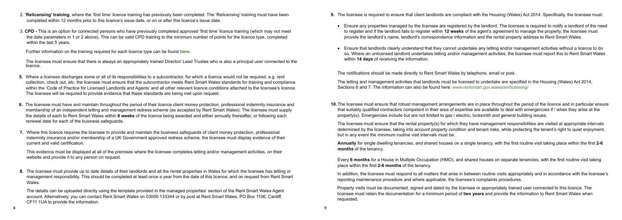- 2. **'Relicensing' training**, where the 'first time' licence training has previously been completed. The 'Relicensing' training must have been completed within 12 months prior to this licence's issue date, or on or after this licence's issue date.
- 3. **CPD** This is an option for connected persons who have previously completed approved 'first time' licence training (which may not meet the date parameters in 1 or 2 above). This can be valid CPD training to the minimum number of points for the licence type, completed within the last 5 years.

The licensee must ensure that there is always an appropriately trained Director/ Lead Trustee who is also a principal user connected to the **licence** 

Further information on the training required for each licence type can be found **[here](https://www.rentsmart.gov.wales/en/courses/)**.

**8.** The licensee must provide up to date details of their landlords and all the rental properties in Wales for which the licensee has letting or management responsibility. This should be completed at least once a year from the date of this licence, and on request from Rent Smart **Wales** 

- **5.** Where a licensee discharges some or all of its responsibilities to a subcontractor, for which a licence would not be required, e.g. rent collection, check out, etc. the licensee must ensure that the subcontractor meets Rent Smart Wales standards for training and compliance within the 'Code of Practice for Licensed Landlords and Agents' and all other relevant licence conditions attached to the licensee's licence. The licensee will be required to provide evidence that these standards are being met upon request.
- **6.** The licensee must have and maintain throughout the period of their licence client money protection, professional indemnity insurance and membership of an independent letting and management redress scheme (as accepted by Rent Smart Wales). The licensee must supply the details of each to Rent Smart Wales within **6 weeks** of the licence being awarded and either annually thereafter, or following each renewal date for each of the business safeguards.
- **7.** Where this licence requires the licensee to provide and maintain the business safeguards of client money protection, professional indemnity insurance and/or membership of a UK Government approved redress scheme, the licensee must display evidence of their current and valid certification.

This evidence must be displayed at all of the premises where the licensee completes letting and/or management activities, on their website and provide it to any person on request.

The details can be uploaded directly using the template provided in the managed properties' section of the Rent Smart Wales Agent account. Alternatively, you can contact Rent Smart Wales on 03000 133344 or by post at Rent Smart Wales, PO Box 1106, Cardiff, CF11 1UA to provide the information.

- **9.** The licensee is required to ensure that client landlords are compliant with the Housing (Wales) Act 2014. Specifically, the licensee must:
	- Ensure any properties managed by the licensee are registered by the landlord. The licensee is required to notify a landlord of the need to register and if the landlord fails to register within **12 weeks** of the agent's agreement to manage the property, the licensee must provide the landlord's name, landlord's correspondence information and the rental property address to Rent Smart Wales.
	- Ensure that landlords clearly understand that they cannot undertake any letting and/or management activities without a licence to do so. Where an unlicensed landlord undertakes letting and/or management activities, the licensee must report this to Rent Smart Wales within **14 days** of receiving the information.

The notifications should be made directly to Rent Smart Wales by telephone, email or post.

The letting and management activities that landlords must be licensed to undertake are specified in the Housing (Wales) Act 2014, Sections 6 and 7. The information can also be found here: www.rentsmart.gov.wales/en/licensing/

**10.**The licensee must ensure that robust management arrangements are in place throughout the period of the licence and in particular ensure that suitably qualified contractors competent in their area of expertise are available to deal with emergencies if / when they arise at the property(s). Emergencies include but are not limited to gas / electric, locksmith and general building issues.

The licensee must ensure that the rental property(s) for which they have management responsibilities are visited at appropriate intervals determined by the licensee, taking into account property condition and tenant risks, while protecting the tenant's right to quiet enjoyment, but in any event the minimum routine visit intervals must be:

**Annually** for single dwelling tenancies, and shared houses on a single tenancy, with the first routine visit taking place within the first **2-6 months** of the tenancy.

Every **6 months** for a House in Multiple Occupation (HMO), and shared houses on separate tenancies, with the first routine visit taking place within the first **2-6 months** of the tenancy.

In addition, the licensee must respond to all matters that arise in between routine visits appropriately and in accordance with the licensee's reporting maintenance procedure and where applicable, the licensee's complaints procedures.

Property visits must be documented, signed and dated by the licensee or appropriately trained user connected to this licence. The licensee must retain the documentation for a minimum period of **two years** and provide the information to Rent Smart Wales when requested.